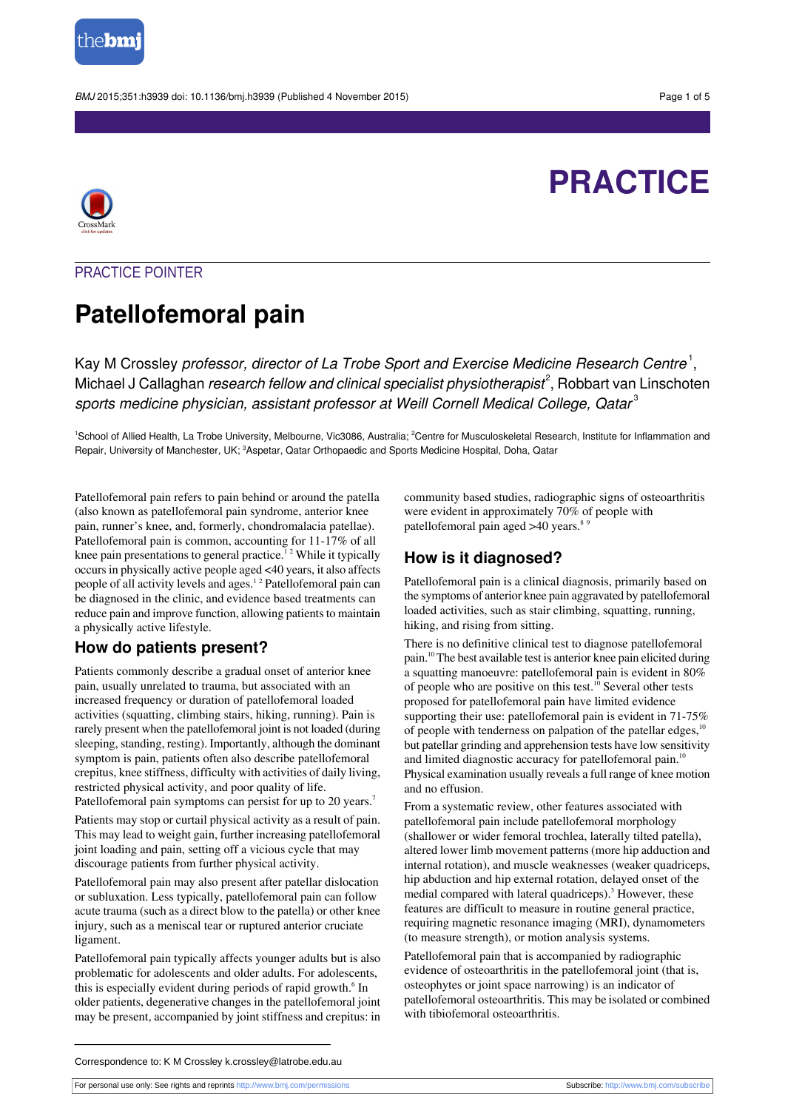

BMJ 2015:351:h3939 doi: 10.1136/bmi.h3939 (Published 4 November 2015) Page 1 of 5

# **PRACTICE**



PRACTICE POINTER

## **Patellofemoral pain**

Kay M Crossley *professor, director of La Trobe Sport and Exercise Medicine Research Centre* <sup>1</sup>, Michael J Callaghan *research fellow and clinical specialist physiotherapist<sup>2</sup>, Robbart van Linschoten* sports medicine physician, assistant professor at Weill Cornell Medical College, Qatar<sup>3</sup>

<sup>1</sup>School of Allied Health, La Trobe University, Melbourne, Vic3086, Australia; <sup>2</sup>Centre for Musculoskeletal Research, Institute for Inflammation and Repair, University of Manchester, UK; <sup>3</sup>Aspetar, Qatar Orthopaedic and Sports Medicine Hospital, Doha, Qatar

Patellofemoral pain refers to pain behind or around the patella (also known as patellofemoral pain syndrome, anterior knee pain, runner's knee, and, formerly, chondromalacia patellae). Patellofemoral pain is common, accounting for 11-17% of all knee pain presentations to general practice.<sup>12</sup> While it typically occursin physically active people aged <40 years, it also affects people of all activity levels and ages.<sup>1</sup> <sup>2</sup> Patellofemoral pain can be diagnosed in the clinic, and evidence based treatments can reduce pain and improve function, allowing patients to maintain a physically active lifestyle.

## **How do patients present?**

Patients commonly describe a gradual onset of anterior knee pain, usually unrelated to trauma, but associated with an increased frequency or duration of patellofemoral loaded activities (squatting, climbing stairs, hiking, running). Pain is rarely present when the patellofemoral joint is not loaded (during sleeping, standing, resting). Importantly, although the dominant symptom is pain, patients often also describe patellofemoral crepitus, knee stiffness, difficulty with activities of daily living, restricted physical activity, and poor quality of life. Patellofemoral pain symptoms can persist for up to 20 years.<sup>7</sup>

Patients may stop or curtail physical activity as a result of pain. This may lead to weight gain, further increasing patellofemoral joint loading and pain, setting off a vicious cycle that may discourage patients from further physical activity.

Patellofemoral pain may also present after patellar dislocation or subluxation. Less typically, patellofemoral pain can follow acute trauma (such as a direct blow to the patella) or other knee injury, such as a meniscal tear or ruptured anterior cruciate ligament.

Patellofemoral pain typically affects younger adults but is also problematic for adolescents and older adults. For adolescents, this is especially evident during periods of rapid growth.<sup>6</sup> In older patients, degenerative changes in the patellofemoral joint may be present, accompanied by joint stiffness and crepitus: in community based studies, radiographic signs of osteoarthritis were evident in approximately 70% of people with patellofemoral pain aged >40 years.<sup>8</sup>

## **How is it diagnosed?**

Patellofemoral pain is a clinical diagnosis, primarily based on the symptoms of anterior knee pain aggravated by patellofemoral loaded activities, such as stair climbing, squatting, running, hiking, and rising from sitting.

There is no definitive clinical test to diagnose patellofemoral pain.<sup>10</sup> The best available test is anterior knee pain elicited during a squatting manoeuvre: patellofemoral pain is evident in 80% of people who are positive on this test.<sup>10</sup> Several other tests proposed for patellofemoral pain have limited evidence supporting their use: patellofemoral pain is evident in 71-75% of people with tenderness on palpation of the patellar edges, $10$ but patellar grinding and apprehension tests have low sensitivity and limited diagnostic accuracy for patellofemoral pain.<sup>10</sup> Physical examination usually reveals a full range of knee motion and no effusion.

From a systematic review, other features associated with patellofemoral pain include patellofemoral morphology (shallower or wider femoral trochlea, laterally tilted patella), altered lower limb movement patterns (more hip adduction and internal rotation), and muscle weaknesses (weaker quadriceps, hip abduction and hip external rotation, delayed onset of the medial compared with lateral quadriceps).<sup>3</sup> However, these features are difficult to measure in routine general practice, requiring magnetic resonance imaging (MRI), dynamometers (to measure strength), or motion analysis systems.

Patellofemoral pain that is accompanied by radiographic evidence of osteoarthritis in the patellofemoral joint (that is, osteophytes or joint space narrowing) is an indicator of patellofemoral osteoarthritis. This may be isolated or combined with tibiofemoral osteoarthritis.

Correspondence to: K M Crossley k.crossley@latrobe.edu.au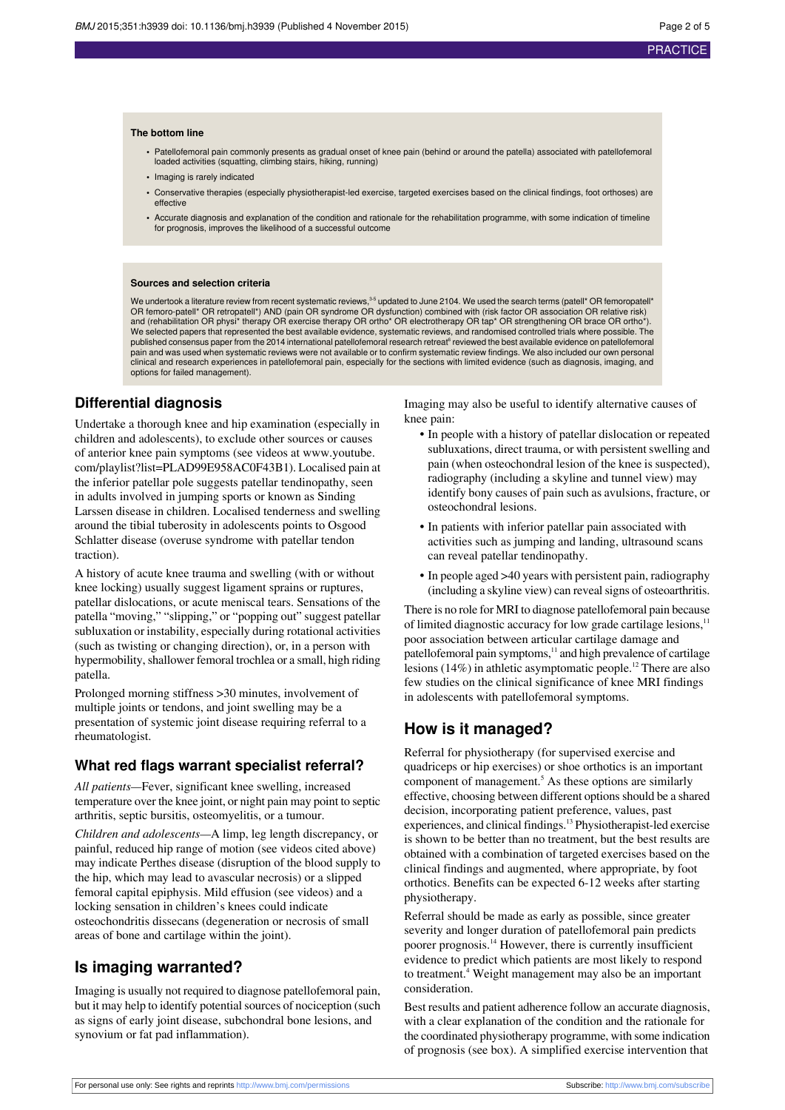#### **The bottom line**

- **•** Patellofemoral pain commonly presents as gradual onset of knee pain (behind or around the patella) associated with patellofemoral loaded activities (squatting, climbing stairs, hiking, running)
- **•** Imaging is rarely indicated
- **•** Conservative therapies (especially physiotherapist-led exercise, targeted exercises based on the clinical findings, foot orthoses) are effective
- **•** Accurate diagnosis and explanation of the condition and rationale for the rehabilitation programme, with some indication of timeline for prognosis, improves the likelihood of a successful outcome

#### **Sources and selection criteria**

We undertook a literature review from recent systematic reviews,<sup>3-5</sup> updated to June 2104. We used the search terms (patell\* OR femoropatell\* OR femoro-patell\* OR retropatell\*) AND (pain OR syndrome OR dysfunction) combined with (risk factor OR association OR relative risk) and (rehabilitation OR physi\* therapy OR exercise therapy OR ortho\* OR electrotherapy OR tap\* OR strengthening OR brace OR ortho\*). We selected papers that represented the best available evidence, systematic reviews, and randomised controlled trials where possible. The published consensus paper from the 2014 international patellofemoral research retreat<sup>s</sup> reviewed the best available evidence on patellofemora pain and was used when systematic reviews were not available or to confirm systematic review findings. We also included our own personal clinical and research experiences in patellofemoral pain, especially for the sections with limited evidence (such as diagnosis, imaging, and options for failed management).

#### **Differential diagnosis**

Undertake a thorough knee and hip examination (especially in children and adolescents), to exclude other sources or causes of anterior knee pain symptoms (see videos at [www.youtube.](http://www.youtube.com/playlist?list=PLAD99E958AC0F43B1) [com/playlist?list=PLAD99E958AC0F43B1](http://www.youtube.com/playlist?list=PLAD99E958AC0F43B1)). Localised pain at the inferior patellar pole suggests patellar tendinopathy, seen in adults involved in jumping sports or known as Sinding Larssen disease in children. Localised tenderness and swelling around the tibial tuberosity in adolescents points to Osgood Schlatter disease (overuse syndrome with patellar tendon traction).

A history of acute knee trauma and swelling (with or without knee locking) usually suggest ligament sprains or ruptures, patellar dislocations, or acute meniscal tears. Sensations of the patella "moving," "slipping," or "popping out" suggest patellar subluxation or instability, especially during rotational activities (such as twisting or changing direction), or, in a person with hypermobility, shallower femoral trochlea or a small, high riding patella.

Prolonged morning stiffness >30 minutes, involvement of multiple joints or tendons, and joint swelling may be a presentation of systemic joint disease requiring referral to a rheumatologist.

#### **What red flags warrant specialist referral?**

*All patients—*Fever, significant knee swelling, increased temperature over the knee joint, or night pain may point to septic arthritis, septic bursitis, osteomyelitis, or a tumour.

*Children and adolescents—*A limp, leg length discrepancy, or painful, reduced hip range of motion (see videos cited above) may indicate Perthes disease (disruption of the blood supply to the hip, which may lead to avascular necrosis) or a slipped femoral capital epiphysis. Mild effusion (see videos) and a locking sensation in children's knees could indicate osteochondritis dissecans (degeneration or necrosis of small areas of bone and cartilage within the joint).

#### **Is imaging warranted?**

Imaging is usually not required to diagnose patellofemoral pain, but it may help to identify potential sources of nociception (such as signs of early joint disease, subchondral bone lesions, and synovium or fat pad inflammation).

Imaging may also be useful to identify alternative causes of knee pain:

- **•** In people with a history of patellar dislocation or repeated subluxations, direct trauma, or with persistent swelling and pain (when osteochondral lesion of the knee is suspected), radiography (including a skyline and tunnel view) may identify bony causes of pain such as avulsions, fracture, or osteochondral lesions.
- **•** In patients with inferior patellar pain associated with activities such as jumping and landing, ultrasound scans can reveal patellar tendinopathy.
- In people aged >40 years with persistent pain, radiography (including a skyline view) can revealsigns of osteoarthritis.

There is no role for MRI to diagnose patellofemoral pain because of limited diagnostic accuracy for low grade cartilage lesions,<sup>11</sup> poor association between articular cartilage damage and patellofemoral pain symptoms,<sup>11</sup> and high prevalence of cartilage lesions  $(14%)$  in athletic asymptomatic people.<sup>12</sup> There are also few studies on the clinical significance of knee MRI findings in adolescents with patellofemoral symptoms.

### **How is it managed?**

Referral for physiotherapy (for supervised exercise and quadriceps or hip exercises) or shoe orthotics is an important component of management.<sup>5</sup> As these options are similarly effective, choosing between different options should be a shared decision, incorporating patient preference, values, past experiences, and clinical findings.<sup>13</sup> Physiotherapist-led exercise is shown to be better than no treatment, but the best results are obtained with a combination of targeted exercises based on the clinical findings and augmented, where appropriate, by foot orthotics. Benefits can be expected 6-12 weeks after starting physiotherapy.

Referral should be made as early as possible, since greater severity and longer duration of patellofemoral pain predicts poorer prognosis.<sup>14</sup> However, there is currently insufficient evidence to predict which patients are most likely to respond to treatment.<sup>4</sup> Weight management may also be an important consideration.

Best results and patient adherence follow an accurate diagnosis, with a clear explanation of the condition and the rationale for the coordinated physiotherapy programme, with some indication of prognosis (see box). A simplified exercise intervention that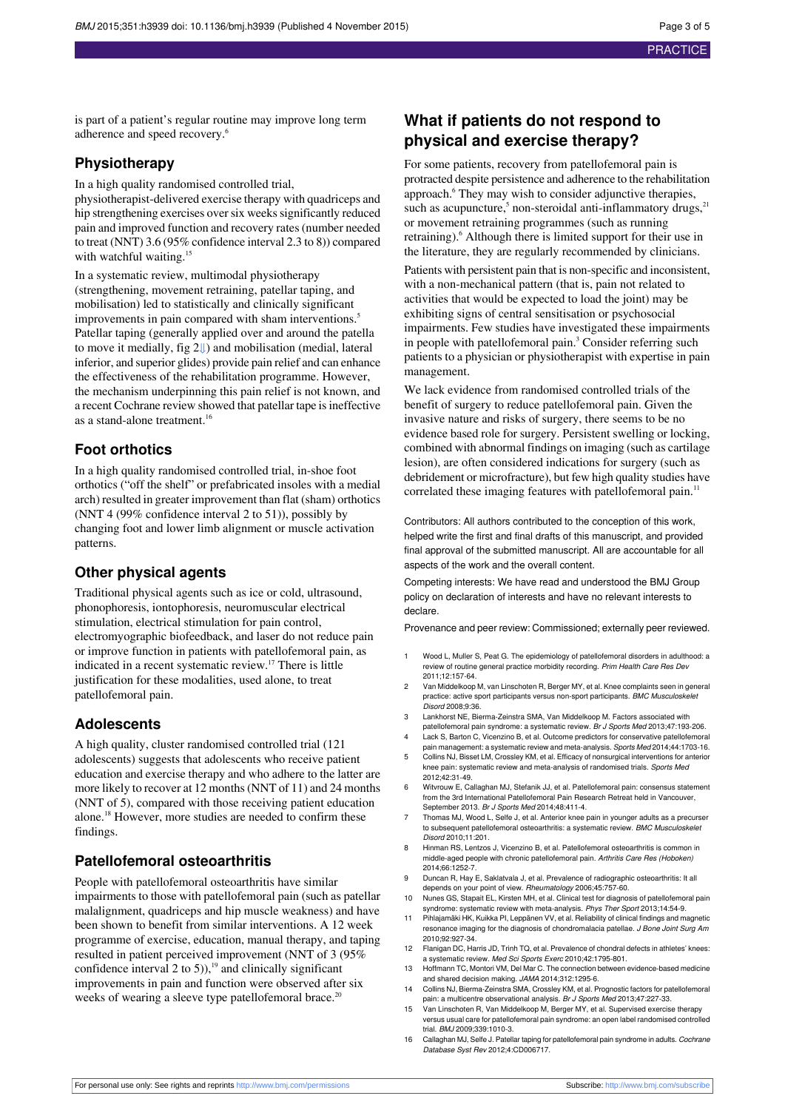is part of a patient's regular routine may improve long term adherence and speed recovery.<sup>6</sup>

### **Physiotherapy**

In a high quality randomised controlled trial,

physiotherapist-delivered exercise therapy with quadriceps and hip strengthening exercises over six weeks significantly reduced pain and improved function and recovery rates (number needed to treat (NNT) 3.6 (95% confidence interval 2.3 to 8)) compared with watchful waiting.<sup>15</sup>

In a systematic review, multimodal physiotherapy (strengthening, movement retraining, patellar taping, and mobilisation) led to statistically and clinically significant improvements in pain compared with sham interventions.<sup>5</sup> Patellar taping (generally applied over and around the patella to move it medially, fig [2⇓](#page-4-0)) and mobilisation (medial, lateral inferior, and superior glides) provide pain relief and can enhance the effectiveness of the rehabilitation programme. However, the mechanism underpinning this pain relief is not known, and a recent Cochrane review showed that patellar tape is ineffective as a stand-alone treatment.<sup>16</sup>

## **Foot orthotics**

In a high quality randomised controlled trial, in-shoe foot orthotics ("off the shelf" or prefabricated insoles with a medial arch) resulted in greater improvement than flat (sham) orthotics (NNT 4 (99% confidence interval 2 to 51)), possibly by changing foot and lower limb alignment or muscle activation patterns.

#### **Other physical agents**

Traditional physical agents such as ice or cold, ultrasound, phonophoresis, iontophoresis, neuromuscular electrical stimulation, electrical stimulation for pain control, electromyographic biofeedback, and laser do not reduce pain or improve function in patients with patellofemoral pain, as indicated in a recent systematic review.<sup>17</sup> There is little justification for these modalities, used alone, to treat patellofemoral pain.

### **Adolescents**

A high quality, cluster randomised controlled trial (121 adolescents) suggests that adolescents who receive patient education and exercise therapy and who adhere to the latter are more likely to recover at 12 months(NNT of 11) and 24 months (NNT of 5), compared with those receiving patient education alone.<sup>18</sup> However, more studies are needed to confirm these findings.

### **Patellofemoral osteoarthritis**

People with patellofemoral osteoarthritis have similar impairments to those with patellofemoral pain (such as patellar malalignment, quadriceps and hip muscle weakness) and have been shown to benefit from similar interventions. A 12 week programme of exercise, education, manual therapy, and taping resulted in patient perceived improvement (NNT of 3 (95% confidence interval 2 to 5)),<sup>19</sup> and clinically significant improvements in pain and function were observed after six weeks of wearing a sleeve type patellofemoral brace.<sup>20</sup>

## **What if patients do not respond to physical and exercise therapy?**

For some patients, recovery from patellofemoral pain is protracted despite persistence and adherence to the rehabilitation approach.<sup>6</sup> They may wish to consider adjunctive therapies, such as acupuncture,<sup>5</sup> non-steroidal anti-inflammatory drugs, $21$ or movement retraining programmes (such as running retraining).<sup>6</sup> Although there is limited support for their use in the literature, they are regularly recommended by clinicians.

Patients with persistent pain that is non-specific and inconsistent, with a non-mechanical pattern (that is, pain not related to activities that would be expected to load the joint) may be exhibiting signs of central sensitisation or psychosocial impairments. Few studies have investigated these impairments in people with patellofemoral pain.<sup>3</sup> Consider referring such patients to a physician or physiotherapist with expertise in pain management.

We lack evidence from randomised controlled trials of the benefit of surgery to reduce patellofemoral pain. Given the invasive nature and risks of surgery, there seems to be no evidence based role for surgery. Persistent swelling or locking, combined with abnormal findings on imaging (such as cartilage lesion), are often considered indications for surgery (such as debridement or microfracture), but few high quality studies have correlated these imaging features with patellofemoral pain.<sup>11</sup>

Contributors: All authors contributed to the conception of this work, helped write the first and final drafts of this manuscript, and provided final approval of the submitted manuscript. All are accountable for all aspects of the work and the overall content.

Competing interests: We have read and understood the BMJ Group policy on declaration of interests and have no relevant interests to declare.

Provenance and peer review: Commissioned; externally peer reviewed.

- Wood L, Muller S, Peat G. The epidemiology of patellofemoral disorders in adulthood: a review of routine general practice morbidity recording. Prim Health Care Res Dev 2011;12:157-64.
- 2 Van Middelkoop M, van Linschoten R, Berger MY, et al. Knee complaints seen in general practice: active sport participants versus non-sport participants. BMC Musculoskelet Disord 2008;9:36.
- 3 Lankhorst NE, Bierma-Zeinstra SMA, Van Middelkoop M. Factors associated with patellofemoral pain syndrome: a systematic review. Br J Sports Med 2013;47:193-206.
- Lack S, Barton C, Vicenzino B, et al. Outcome predictors for conservative patellofemoral pain management: a systematic review and meta-analysis. Sports Med 2014;44:1703-16.
- 5 Collins NJ, Bisset LM, Crossley KM, et al. Efficacy of nonsurgical interventions for anterior knee pain: systematic review and meta-analysis of randomised trials. Sports Med 2012;42:31-49.
- 6 Witvrouw E, Callaghan MJ, Stefanik JJ, et al. Patellofemoral pain: consensus statement from the 3rd International Patellofemoral Pain Research Retreat held in Vancouver, September 2013. Br J Sports Med 2014;48:411-4.
- 7 Thomas MJ, Wood L, Selfe J, et al. Anterior knee pain in younger adults as a precurser to subsequent patellofemoral osteoarthritis: a systematic review. BMC Musculoskelet Disord 2010;11:201.
- 8 Hinman RS, Lentzos J, Vicenzino B, et al. Patellofemoral osteoarthritis is common in middle-aged people with chronic patellofemoral pain. Arthritis Care Res (Hoboken) 2014;66:1252-7.
- 9 Duncan R, Hay E, Saklatvala J, et al. Prevalence of radiographic osteoarthritis: It all depends on your point of view. Rheumatology 2006;45:757-60.
- Nunes GS, Stapait EL, Kirsten MH, et al. Clinical test for diagnosis of patellofemoral pair syndrome: systematic review with meta-analysis. Phys Ther Sport 2013;14:54-9.
- 11 Pihlajamäki HK, Kuikka PI, Leppänen VV, et al. Reliability of clinical findings and magnetic resonance imaging for the diagnosis of chondromalacia patellae. J Bone Joint Surg Am 2010;92:927-34.
- 12 Flanigan DC, Harris JD, Trinh TQ, et al. Prevalence of chondral defects in athletes' knees: a systematic review. Med Sci Sports Exerc 2010;42:1795-801.
- 13 Hoffmann TC, Montori VM, Del Mar C. The connection bet and shared decision making. JAMA 2014;312:1295-6.
- 14 Collins NJ, Bierma-Zeinstra SMA, Crossley KM, et al. Prognostic factors for patellofemoral pain: a multicentre observational analysis. Br J Sports Med 2013;47:227-33.
- 15 Van Linschoten R, Van Middelkoop M, Berger MY, et al. Supervised exercise therapy versus usual care for patellofemoral pain syndrome: an open label randomised controlled trial. BMJ 2009;339:1010-3.
- 16 Callaghan MJ, Selfe J. Patellar taping for patellofemoral pain syndrome in adults. Cochrane Database Syst Rev 2012;4:CD006717.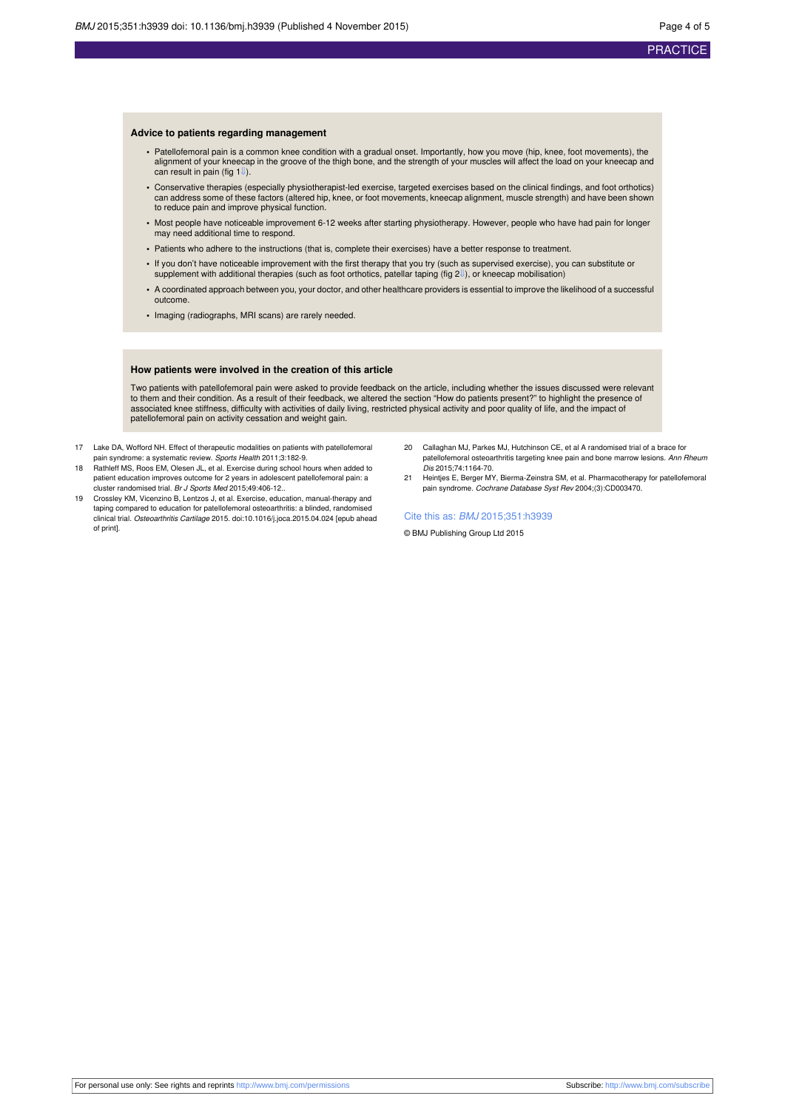#### **PRACTICE**

#### **Advice to patients regarding management**

- **•** Patellofemoral pain is a common knee condition with a gradual onset. Importantly, how you move (hip, knee, foot movements), the alignment of your kneecap in the groove of the thigh bone, and the strength of your muscles will affect the load on your kneecap and can result in pain (fig  $1\sqrt{ }$ ).
- **•** Conservative therapies (especially physiotherapist-led exercise, targeted exercises based on the clinical findings, and foot orthotics) can address some of these factors (altered hip, knee, or foot movements, kneecap alignment, muscle strength) and have been shown to reduce pain and improve physical function.
- **•** Most people have noticeable improvement 6-12 weeks after starting physiotherapy. However, people who have had pain for longer may need additional time to respond.
- **•** Patients who adhere to the instructions (that is, complete their exercises) have a better response to treatment.
- **•** If you don't have noticeable improvement with the first therapy that you try (such as supervised exercise), you can substitute or supplement with additional therapies (such as foot orthotics, patellar taping (fig 2<u></u>U), or kneecap mobilisation)
- **•** A coordinated approach between you, your doctor, and other healthcare providers is essential to improve the likelihood of a successful outcome.
- **•** Imaging (radiographs, MRI scans) are rarely needed.

#### **How patients were involved in the creation of this article**

Two patients with patellofemoral pain were asked to provide feedback on the article, including whether the issues discussed were relevant to them and their condition. As a result of their feedback, we altered the section "How do patients present?" to highlight the presence of<br>associated knee stiffness, difficulty with activities of daily living, restricted p patellofemoral pain on activity cessation and weight gain.

- 17 Lake DA, Wofford NH. Effect of therapeutic modalities on patients with patellofemoral pain syndrome: a systematic review. Sports Health 2011;3:182-9.
- 18 Rathleff MS, Roos EM, Olesen JL, et al. Exercise during school hours when added to patient education improves outcome for 2 years in adolescent patellofemoral pain: a cluster randomised trial. Br J Sports Med 2015;49:406-12..
- 19 Crossley KM, Vicenzino B, Lentzos J, et al. Exercise, education, manual-therapy and taping compared to education for patellofemoral osteoarthritis: a blinded, randomised clinical trial. Osteoarthritis Cartilage 2015. doi[:10.1016/j.joca.2015.04.024](http://dx.doi.org/10.1016/j.joca.2015.04.024) [epub ahead of print].
- 20 Callaghan MJ, Parkes MJ, Hutchinson CE, et al A randomised trial of a brace for patellofemoral osteoarthritis targeting knee pain and bone marrow lesions. Ann Rheum Dis 2015;74:1164-70.
- 21 Heintjes E, Berger MY, Bierma-Zeinstra SM, et al. Pharmacotherapy for patellofemoral pain syndrome. Cochrane Database Syst Rev 2004;(3):CD003470.

#### Cite this as: BMJ 2015;351:h3939

© BMJ Publishing Group Ltd 2015